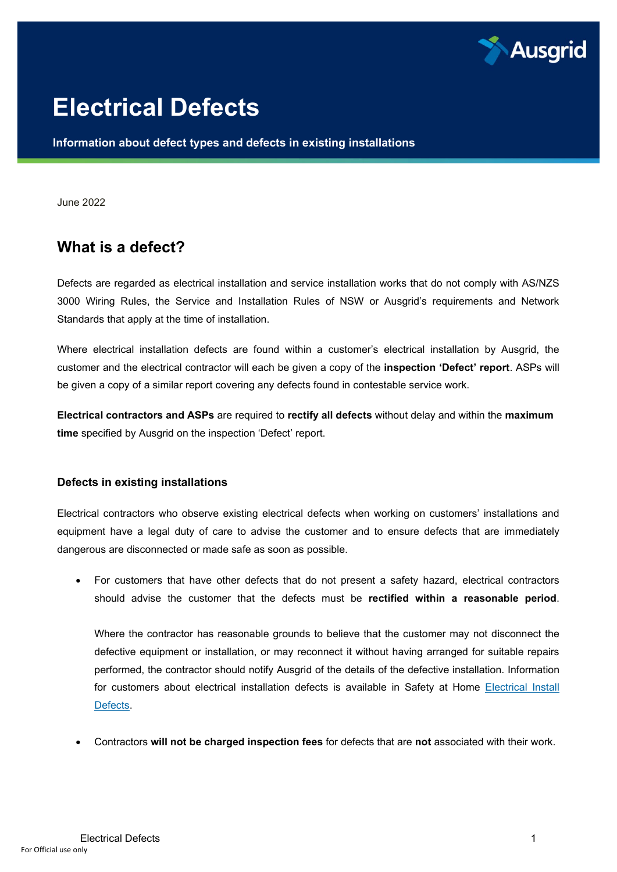

# **Electrical Defects**

**Information about defect types and defects in existing installations**

June 2022

## **What is a defect?**

Defects are regarded as electrical installation and service installation works that do not comply with AS/NZS 3000 Wiring Rules, the Service and Installation Rules of NSW or Ausgrid's requirements and Network Standards that apply at the time of installation.

Where electrical installation defects are found within a customer's electrical installation by Ausgrid, the customer and the electrical contractor will each be given a copy of the **inspection 'Defect' report**. ASPs will be given a copy of a similar report covering any defects found in contestable service work.

**Electrical contractors and ASPs** are required to **rectify all defects** without delay and within the **maximum time** specified by Ausgrid on the inspection 'Defect' report.

#### **Defects in existing installations**

Electrical contractors who observe existing electrical defects when working on customers' installations and equipment have a legal duty of care to advise the customer and to ensure defects that are immediately dangerous are disconnected or made safe as soon as possible.

• For customers that have other defects that do not present a safety hazard, electrical contractors should advise the customer that the defects must be **rectified within a reasonable period**.

Where the contractor has reasonable grounds to believe that the customer may not disconnect the defective equipment or installation, or may reconnect it without having arranged for suitable repairs performed, the contractor should notify Ausgrid of the details of the defective installation. Information for customers about electrical installation defects is available in Safety at Home [Electrical Install](https://www.ausgrid.com.au/Your-safety/Safety-around-your-home/Electrical-install-defects)  [Defects.](https://www.ausgrid.com.au/Your-safety/Safety-around-your-home/Electrical-install-defects)

• Contractors **will not be charged inspection fees** for defects that are **not** associated with their work.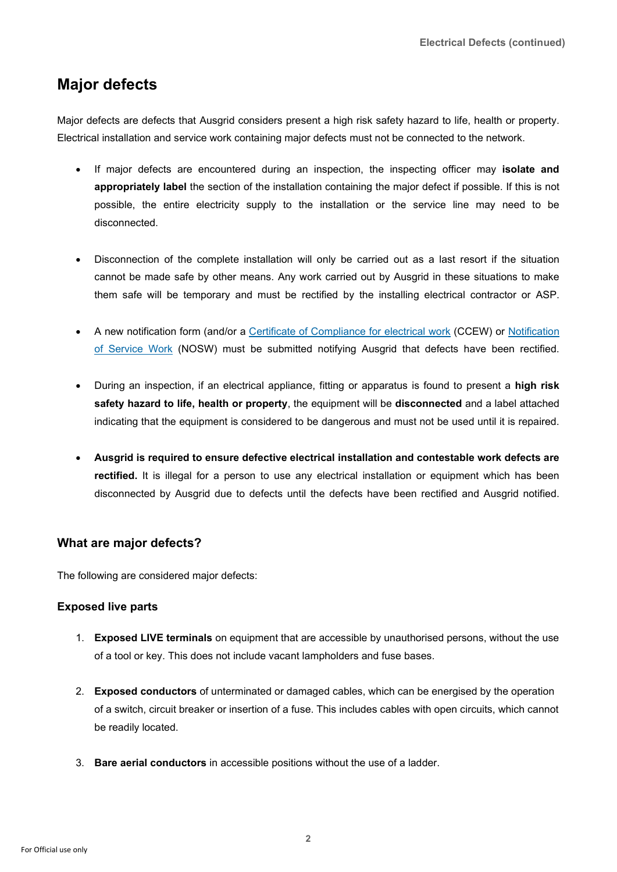# **Major defects**

Major defects are defects that Ausgrid considers present a high risk safety hazard to life, health or property. Electrical installation and service work containing major defects must not be connected to the network.

- If major defects are encountered during an inspection, the inspecting officer may **isolate and appropriately label** the section of the installation containing the major defect if possible. If this is not possible, the entire electricity supply to the installation or the service line may need to be disconnected.
- Disconnection of the complete installation will only be carried out as a last resort if the situation cannot be made safe by other means. Any work carried out by Ausgrid in these situations to make them safe will be temporary and must be rectified by the installing electrical contractor or ASP.
- A new notification form (and/or a [Certificate of Compliance for electrical work](https://www.fairtrading.nsw.gov.au/trades-and-businesses/construction-and-trade-essentials/electricians/electrical-compliance-requirements) (CCEW) or [Notification](https://services.ausgrid.com.au/NOSW)  [of Service Work](https://services.ausgrid.com.au/NOSW) (NOSW) must be submitted notifying Ausgrid that defects have been rectified.
- During an inspection, if an electrical appliance, fitting or apparatus is found to present a **high risk safety hazard to life, health or property**, the equipment will be **disconnected** and a label attached indicating that the equipment is considered to be dangerous and must not be used until it is repaired.
- **Ausgrid is required to ensure defective electrical installation and contestable work defects are rectified.** It is illegal for a person to use any electrical installation or equipment which has been disconnected by Ausgrid due to defects until the defects have been rectified and Ausgrid notified.

#### **What are major defects?**

The following are considered major defects:

#### **Exposed live parts**

- 1. **Exposed LIVE terminals** on equipment that are accessible by unauthorised persons, without the use of a tool or key. This does not include vacant lampholders and fuse bases.
- 2. **Exposed conductors** of unterminated or damaged cables, which can be energised by the operation of a switch, circuit breaker or insertion of a fuse. This includes cables with open circuits, which cannot be readily located.
- 3. **Bare aerial conductors** in accessible positions without the use of a ladder.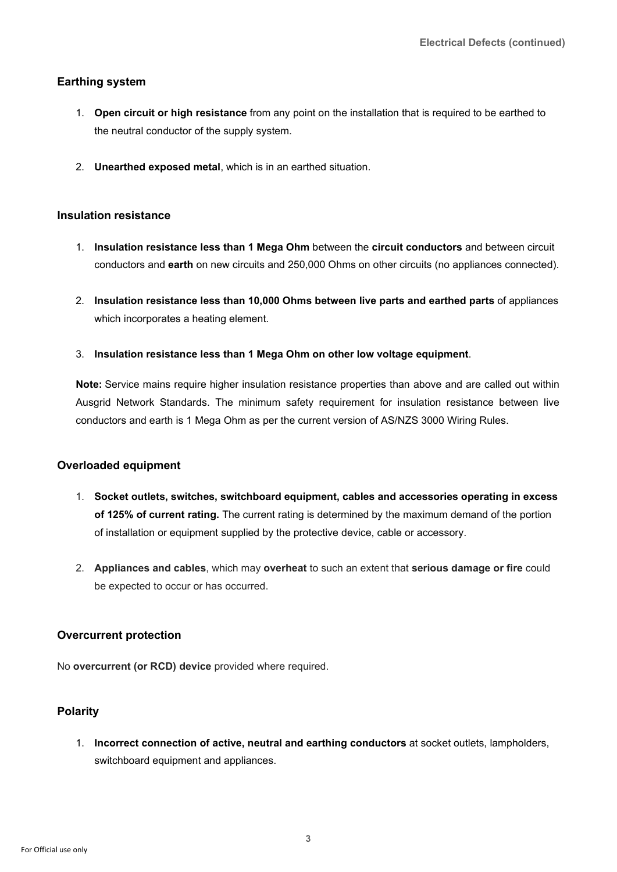#### **Earthing system**

- 1. **Open circuit or high resistance** from any point on the installation that is required to be earthed to the neutral conductor of the supply system.
- 2. **Unearthed exposed metal**, which is in an earthed situation.

#### **Insulation resistance**

- 1. **Insulation resistance less than 1 Mega Ohm** between the **circuit conductors** and between circuit conductors and **earth** on new circuits and 250,000 Ohms on other circuits (no appliances connected).
- 2. **Insulation resistance less than 10,000 Ohms between live parts and earthed parts** of appliances which incorporates a heating element.
- 3. **Insulation resistance less than 1 Mega Ohm on other low voltage equipment**.

**Note:** Service mains require higher insulation resistance properties than above and are called out within Ausgrid Network Standards. The minimum safety requirement for insulation resistance between live conductors and earth is 1 Mega Ohm as per the current version of AS/NZS 3000 Wiring Rules.

#### **Overloaded equipment**

- 1. **Socket outlets, switches, switchboard equipment, cables and accessories operating in excess of 125% of current rating.** The current rating is determined by the maximum demand of the portion of installation or equipment supplied by the protective device, cable or accessory.
- 2. **Appliances and cables**, which may **overheat** to such an extent that **serious damage or fire** could be expected to occur or has occurred.

#### **Overcurrent protection**

No **overcurrent (or RCD) device** provided where required.

#### **Polarity**

1. **Incorrect connection of active, neutral and earthing conductors** at socket outlets, lampholders, switchboard equipment and appliances.